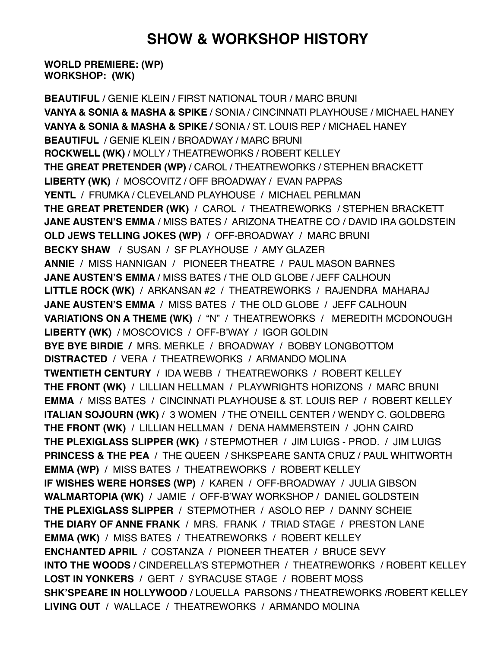## **SHOW & WORKSHOP HISTORY**

**WORLD PREMIERE: (WP) WORKSHOP: (WK)**

**BEAUTIFUL** / GENIE KLEIN / FIRST NATIONAL TOUR / MARC BRUNI **VANYA & SONIA & MASHA & SPIKE** / SONIA / CINCINNATI PLAYHOUSE / MICHAEL HANEY **VANYA & SONIA & MASHA & SPIKE /** SONIA / ST. LOUIS REP / MICHAEL HANEY **BEAUTIFUL** / GENIE KLEIN / BROADWAY / MARC BRUNI **ROCKWELL (WK)** / MOLLY / THEATREWORKS / ROBERT KELLEY **THE GREAT PRETENDER (WP)** / CAROL / THEATREWORKS / STEPHEN BRACKETT **LIBERTY (WK)** / MOSCOVITZ / OFF BROADWAY / EVAN PAPPAS **YENTL** / FRUMKA / CLEVELAND PLAYHOUSE / MICHAEL PERLMAN **THE GREAT PRETENDER (WK)** / CAROL / THEATREWORKS / STEPHEN BRACKETT **JANE AUSTEN'S EMMA** / MISS BATES / ARIZONA THEATRE CO / DAVID IRA GOLDSTEIN **OLD JEWS TELLING JOKES (WP)** / OFF-BROADWAY / MARC BRUNI **BECKY SHAW** / SUSAN / SF PLAYHOUSE / AMY GLAZER **ANNIE** / MISS HANNIGAN / PIONEER THEATRE / PAUL MASON BARNES **JANE AUSTEN'S EMMA** / MISS BATES / THE OLD GLOBE / JEFF CALHOUN **LITTLE ROCK (WK)** / ARKANSAN #2 / THEATREWORKS / RAJENDRA MAHARAJ **JANE AUSTEN'S EMMA** / MISS BATES / THE OLD GLOBE / JEFF CALHOUN **VARIATIONS ON A THEME (WK)** / "N" / THEATREWORKS / MEREDITH MCDONOUGH **LIBERTY (WK)** / MOSCOVICS / OFF-B'WAY / IGOR GOLDIN **BYE BYE BIRDIE /** MRS. MERKLE / BROADWAY / BOBBY LONGBOTTOM **DISTRACTED** / VERA / THEATREWORKS / ARMANDO MOLINA **TWENTIETH CENTURY** / IDA WEBB / THEATREWORKS / ROBERT KELLEY **THE FRONT (WK)** / LILLIAN HELLMAN / PLAYWRIGHTS HORIZONS / MARC BRUNI **EMMA** / MISS BATES / CINCINNATI PLAYHOUSE & ST. LOUIS REP / ROBERT KELLEY **ITALIAN SOJOURN (WK)** / 3 WOMEN / THE O'NEILL CENTER / WENDY C. GOLDBERG **THE FRONT (WK)** / LILLIAN HELLMAN / DENA HAMMERSTEIN / JOHN CAIRD **THE PLEXIGLASS SLIPPER (WK)** / STEPMOTHER / JIM LUIGS - PROD. / JIM LUIGS **PRINCESS & THE PEA** / THE QUEEN / SHKSPEARE SANTA CRUZ / PAUL WHITWORTH **EMMA (WP)** / MISS BATES / THEATREWORKS / ROBERT KELLEY **IF WISHES WERE HORSES (WP)** / KAREN / OFF-BROADWAY / JULIA GIBSON **WALMARTOPIA (WK)** / JAMIE / OFF-B'WAY WORKSHOP / DANIEL GOLDSTEIN **THE PLEXIGLASS SLIPPER** / STEPMOTHER / ASOLO REP / DANNY SCHEIE **THE DIARY OF ANNE FRANK** / MRS. FRANK / TRIAD STAGE / PRESTON LANE **EMMA (WK)** / MISS BATES / THEATREWORKS / ROBERT KELLEY **ENCHANTED APRIL** / COSTANZA / PIONEER THEATER / BRUCE SEVY **INTO THE WOODS** / CINDERELLA'S STEPMOTHER / THEATREWORKS / ROBERT KELLEY **LOST IN YONKERS** / GERT / SYRACUSE STAGE / ROBERT MOSS **SHK'SPEARE IN HOLLYWOOD** / LOUELLA PARSONS / THEATREWORKS /ROBERT KELLEY **LIVING OUT** / WALLACE / THEATREWORKS / ARMANDO MOLINA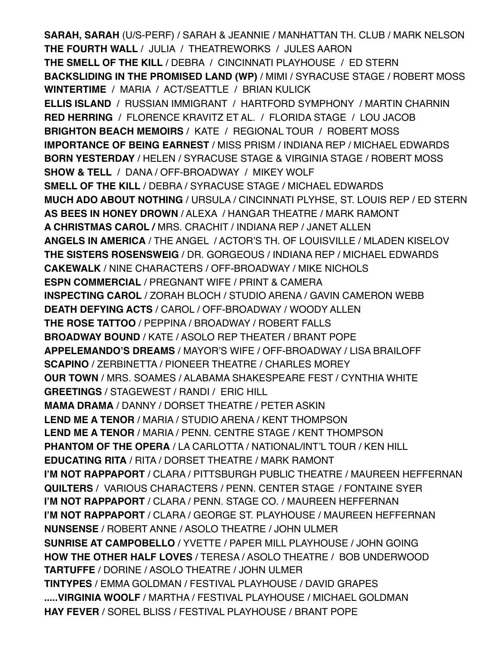**SARAH, SARAH** (U/S-PERF) / SARAH & JEANNIE / MANHATTAN TH. CLUB / MARK NELSON **THE FOURTH WALL** / JULIA / THEATREWORKS / JULES AARON **THE SMELL OF THE KILL** / DEBRA / CINCINNATI PLAYHOUSE / ED STERN **BACKSLIDING IN THE PROMISED LAND (WP)** / MIMI / SYRACUSE STAGE / ROBERT MOSS **WINTERTIME** / MARIA / ACT/SEATTLE / BRIAN KULICK **ELLIS ISLAND** / RUSSIAN IMMIGRANT / HARTFORD SYMPHONY / MARTIN CHARNIN **RED HERRING** / FLORENCE KRAVITZ ET AL. / FLORIDA STAGE / LOU JACOB **BRIGHTON BEACH MEMOIRS** / KATE / REGIONAL TOUR / ROBERT MOSS **IMPORTANCE OF BEING EARNEST** / MISS PRISM / INDIANA REP / MICHAEL EDWARDS **BORN YESTERDAY** / HELEN / SYRACUSE STAGE & VIRGINIA STAGE / ROBERT MOSS **SHOW & TELL** / DANA / OFF-BROADWAY / MIKEY WOLF **SMELL OF THE KILL** / DEBRA / SYRACUSE STAGE / MICHAEL EDWARDS **MUCH ADO ABOUT NOTHING** / URSULA / CINCINNATI PLYHSE, ST. LOUIS REP / ED STERN **AS BEES IN HONEY DROWN** / ALEXA / HANGAR THEATRE / MARK RAMONT **A CHRISTMAS CAROL /** MRS. CRACHIT / INDIANA REP / JANET ALLEN **ANGELS IN AMERICA** / THE ANGEL / ACTOR'S TH. OF LOUISVILLE / MLADEN KISELOV **THE SISTERS ROSENSWEIG** / DR. GORGEOUS / INDIANA REP / MICHAEL EDWARDS **CAKEWALK** / NINE CHARACTERS / OFF-BROADWAY / MIKE NICHOLS **ESPN COMMERCIAL** / PREGNANT WIFE / PRINT & CAMERA **INSPECTING CAROL** / ZORAH BLOCH / STUDIO ARENA / GAVIN CAMERON WEBB **DEATH DEFYING ACTS** / CAROL / OFF-BROADWAY / WOODY ALLEN **THE ROSE TATTOO** / PEPPINA / BROADWAY / ROBERT FALLS **BROADWAY BOUND** / KATE / ASOLO REP THEATER / BRANT POPE **APPELEMANDO'S DREAMS** / MAYOR'S WIFE / OFF-BROADWAY / LISA BRAILOFF **SCAPINO** / ZERBINETTA / PIONEER THEATRE / CHARLES MOREY **OUR TOWN** / MRS. SOAMES / ALABAMA SHAKESPEARE FEST / CYNTHIA WHITE **GREETINGS** / STAGEWEST / RANDI / ERIC HILL **MAMA DRAMA** / DANNY / DORSET THEATRE / PETER ASKIN **LEND ME A TENOR** / MARIA / STUDIO ARENA / KENT THOMPSON **LEND ME A TENOR** / MARIA / PENN. CENTRE STAGE / KENT THOMPSON **PHANTOM OF THE OPERA** / LA CARLOTTA / NATIONAL/INT'L TOUR / KEN HILL **EDUCATING RITA** / RITA / DORSET THEATRE / MARK RAMONT **I'M NOT RAPPAPORT** / CLARA / PITTSBURGH PUBLIC THEATRE / MAUREEN HEFFERNAN **QUILTERS** / VARIOUS CHARACTERS / PENN. CENTER STAGE / FONTAINE SYER **I'M NOT RAPPAPORT** / CLARA / PENN. STAGE CO. / MAUREEN HEFFERNAN **I'M NOT RAPPAPORT** / CLARA / GEORGE ST. PLAYHOUSE / MAUREEN HEFFERNAN **NUNSENSE** / ROBERT ANNE / ASOLO THEATRE / JOHN ULMER **SUNRISE AT CAMPOBELLO** / YVETTE / PAPER MILL PLAYHOUSE / JOHN GOING **HOW THE OTHER HALF LOVES** / TERESA / ASOLO THEATRE / BOB UNDERWOOD **TARTUFFE** / DORINE / ASOLO THEATRE / JOHN ULMER **TINTYPES** / EMMA GOLDMAN / FESTIVAL PLAYHOUSE / DAVID GRAPES **.....VIRGINIA WOOLF** / MARTHA / FESTIVAL PLAYHOUSE / MICHAEL GOLDMAN **HAY FEVER** / SOREL BLISS / FESTIVAL PLAYHOUSE / BRANT POPE